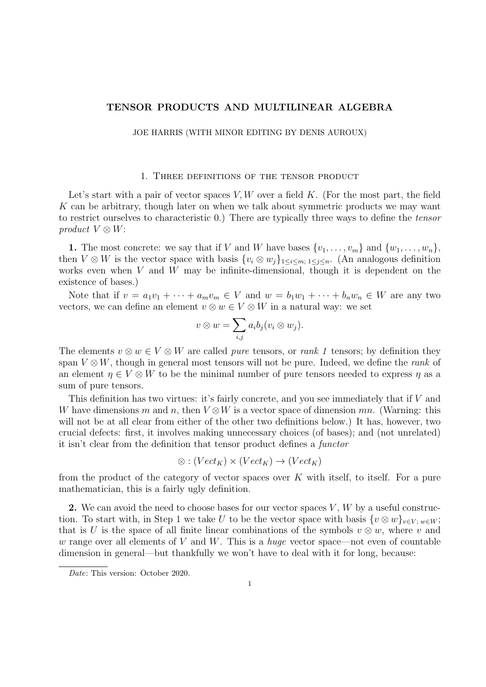# TENSOR PRODUCTS AND MULTILINEAR ALGEBRA

JOE HARRIS (WITH MINOR EDITING BY DENIS AUROUX)

### 1. Three definitions of the tensor product

Let's start with a pair of vector spaces  $V, W$  over a field K. (For the most part, the field K can be arbitrary, though later on when we talk about symmetric products we may want to restrict ourselves to characteristic 0.) There are typically three ways to define the tensor product  $V \otimes W$ :

1. The most concrete: we say that if V and W have bases  $\{v_1, \ldots, v_m\}$  and  $\{w_1, \ldots, w_n\}$ , then  $V \otimes W$  is the vector space with basis  $\{v_i \otimes w_j\}_{1 \leq i \leq m; 1 \leq j \leq n}$ . (An analogous definition works even when  $V$  and  $W$  may be infinite-dimensional, though it is dependent on the existence of bases.)

Note that if  $v = a_1v_1 + \cdots + a_mv_m \in V$  and  $w = b_1w_1 + \cdots + b_nw_n \in W$  are any two vectors, we can define an element  $v \otimes w \in V \otimes W$  in a natural way: we set

$$
v \otimes w = \sum_{i,j} a_i b_j (v_i \otimes w_j).
$$

The elements  $v \otimes w \in V \otimes W$  are called *pure* tensors, or *rank 1* tensors; by definition they span  $V \otimes W$ , though in general most tensors will not be pure. Indeed, we define the *rank* of an element  $\eta \in V \otimes W$  to be the minimal number of pure tensors needed to express  $\eta$  as a sum of pure tensors.

This definition has two virtues: it's fairly concrete, and you see immediately that if V and W have dimensions m and n, then  $V \otimes W$  is a vector space of dimension mn. (Warning: this will not be at all clear from either of the other two definitions below.) It has, however, two crucial defects: first, it involves making unnecessary choices (of bases); and (not unrelated) it isn't clear from the definition that tensor product defines a functor

$$
\otimes : (Vect_K) \times (Vect_K) \to (Vect_K)
$$

from the product of the category of vector spaces over  $K$  with itself, to itself. For a pure mathematician, this is a fairly ugly definition.

2. We can avoid the need to choose bases for our vector spaces  $V, W$  by a useful construction. To start with, in Step 1 we take U to be the vector space with basis  $\{v \otimes w\}_{v \in V : w \in W}$ ; that is U is the space of all finite linear combinations of the symbols  $v \otimes w$ , where v and w range over all elements of V and W. This is a *huge* vector space—not even of countable dimension in general—but thankfully we won't have to deal with it for long, because:

Date: This version: October 2020.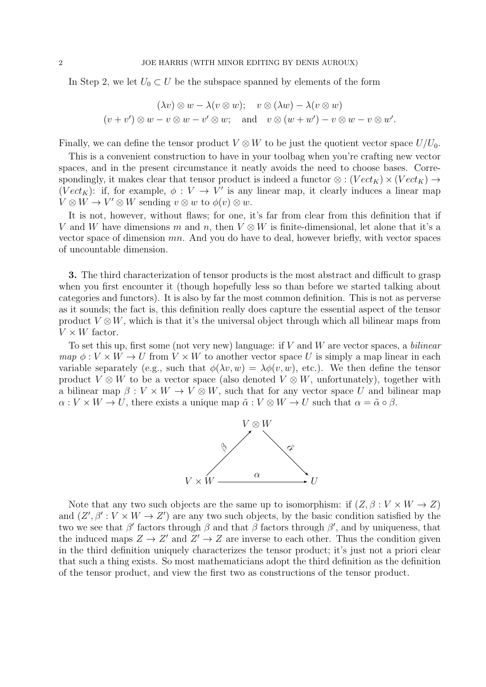In Step 2, we let  $U_0 \subset U$  be the subspace spanned by elements of the form

$$
(\lambda v) \otimes w - \lambda (v \otimes w); \quad v \otimes (\lambda w) - \lambda (v \otimes w)
$$

$$
(v + v') \otimes w - v \otimes w - v' \otimes w; \quad \text{and} \quad v \otimes (w + w') - v \otimes w - v \otimes w'.
$$

Finally, we can define the tensor product  $V \otimes W$  to be just the quotient vector space  $U/U_0$ .

This is a convenient construction to have in your toolbag when you're crafting new vector spaces, and in the present circumstance it neatly avoids the need to choose bases. Correspondingly, it makes clear that tensor product is indeed a functor  $\otimes$  :  $(Vect_K) \times (Vect_K) \rightarrow$  $(Vect_K)$ : if, for example,  $\phi: V \to V'$  is any linear map, it clearly induces a linear map  $V \otimes W \to V' \otimes W$  sending  $v \otimes w$  to  $\phi(v) \otimes w$ .

It is not, however, without flaws; for one, it's far from clear from this definition that if V and W have dimensions m and n, then  $V \otimes W$  is finite-dimensional, let alone that it's a vector space of dimension mn. And you do have to deal, however briefly, with vector spaces of uncountable dimension.

3. The third characterization of tensor products is the most abstract and difficult to grasp when you first encounter it (though hopefully less so than before we started talking about categories and functors). It is also by far the most common definition. This is not as perverse as it sounds; the fact is, this definition really does capture the essential aspect of the tensor product  $V \otimes W$ , which is that it's the universal object through which all bilinear maps from  $V \times W$  factor.

To set this up, first some (not very new) language: if  $V$  and  $W$  are vector spaces, a *bilinear* map  $\phi: V \times W \to U$  from  $V \times W$  to another vector space U is simply a map linear in each variable separately (e.g., such that  $\phi(\lambda v, w) = \lambda \phi(v, w)$ , etc.). We then define the tensor product  $V \otimes W$  to be a vector space (also denoted  $V \otimes W$ , unfortunately), together with a bilinear map  $\beta: V \times W \to V \otimes W$ , such that for any vector space U and bilinear map  $\alpha: V \times W \to U$ , there exists a unique map  $\tilde{\alpha}: V \otimes W \to U$  such that  $\alpha = \tilde{\alpha} \circ \beta$ .



Note that any two such objects are the same up to isomorphism: if  $(Z, \beta : V \times W \to Z)$ and  $(Z', \beta' : V \times W \to Z')$  are any two such objects, by the basic condition satisfied by the two we see that  $\beta'$  factors through  $\beta$  and that  $\beta$  factors through  $\beta'$ , and by uniqueness, that the induced maps  $Z \to Z'$  and  $Z' \to Z$  are inverse to each other. Thus the condition given in the third definition uniquely characterizes the tensor product; it's just not a priori clear that such a thing exists. So most mathematicians adopt the third definition as the definition of the tensor product, and view the first two as constructions of the tensor product.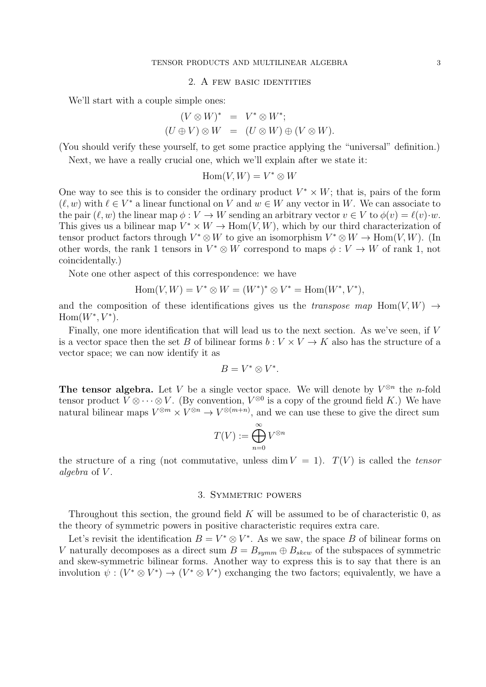### 2. A few basic identities

We'll start with a couple simple ones:

$$
(V \otimes W)^* = V^* \otimes W^*;
$$
  

$$
(U \oplus V) \otimes W = (U \otimes W) \oplus (V \otimes W).
$$

(You should verify these yourself, to get some practice applying the "universal" definition.)

Next, we have a really crucial one, which we'll explain after we state it:

$$
\operatorname{Hom}(V,W) = V^* \otimes W
$$

One way to see this is to consider the ordinary product  $V^* \times W$ ; that is, pairs of the form  $(\ell, w)$  with  $\ell \in V^*$  a linear functional on V and  $w \in W$  any vector in W. We can associate to the pair  $(\ell, w)$  the linear map  $\phi : V \to W$  sending an arbitrary vector  $v \in V$  to  $\phi(v) = \ell(v) \cdot w$ . This gives us a bilinear map  $V^* \times W \to \text{Hom}(V, W)$ , which by our third characterization of tensor product factors through  $V^* \otimes W$  to give an isomorphism  $V^* \otimes W \to \text{Hom}(V, W)$ . (In other words, the rank 1 tensors in  $V^* \otimes W$  correspond to maps  $\phi: V \to W$  of rank 1, not coincidentally.)

Note one other aspect of this correspondence: we have

$$
Hom(V, W) = V^* \otimes W = (W^*)^* \otimes V^* = Hom(W^*, V^*),
$$

and the composition of these identifications gives us the *transpose map* Hom $(V, W) \rightarrow$  $Hom(W^*, V^*)$ .

Finally, one more identification that will lead us to the next section. As we've seen, if V is a vector space then the set B of bilinear forms  $b: V \times V \rightarrow K$  also has the structure of a vector space; we can now identify it as

$$
B=V^*\otimes V^*.
$$

The tensor algebra. Let V be a single vector space. We will denote by  $V^{\otimes n}$  the *n*-fold tensor product  $V \otimes \cdots \otimes V$ . (By convention,  $V^{\otimes 0}$  is a copy of the ground field K.) We have natural bilinear maps  $V^{\otimes m} \times V^{\otimes n} \to V^{\otimes (m+n)}$ , and we can use these to give the direct sum

$$
T(V) := \bigoplus_{n=0}^{\infty} V^{\otimes n}
$$

the structure of a ring (not commutative, unless dim  $V = 1$ ).  $T(V)$  is called the tensor algebra of V.

# 3. Symmetric powers

Throughout this section, the ground field  $K$  will be assumed to be of characteristic 0, as the theory of symmetric powers in positive characteristic requires extra care.

Let's revisit the identification  $B = V^* \otimes V^*$ . As we saw, the space B of bilinear forms on V naturally decomposes as a direct sum  $B = B_{symm} \oplus B_{skew}$  of the subspaces of symmetric and skew-symmetric bilinear forms. Another way to express this is to say that there is an involution  $\psi : (V^* \otimes V^*) \to (V^* \otimes V^*)$  exchanging the two factors; equivalently, we have a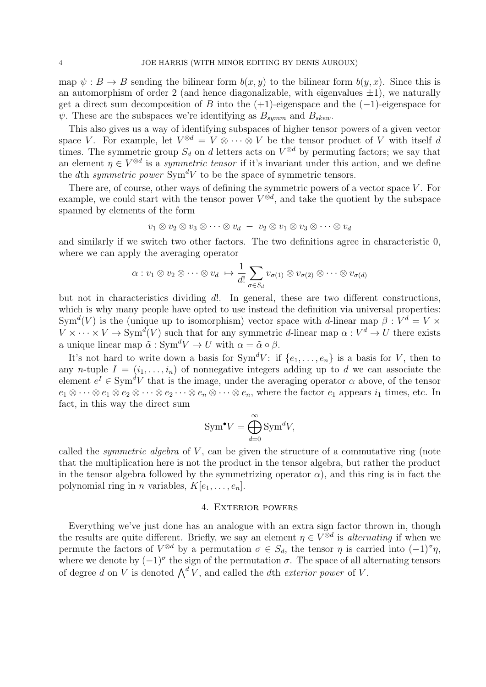map  $\psi : B \to B$  sending the bilinear form  $b(x, y)$  to the bilinear form  $b(y, x)$ . Since this is an automorphism of order 2 (and hence diagonalizable, with eigenvalues  $\pm 1$ ), we naturally get a direct sum decomposition of B into the  $(+1)$ -eigenspace and the  $(-1)$ -eigenspace for  $\psi$ . These are the subspaces we're identifying as  $B_{symm}$  and  $B_{skew}$ .

This also gives us a way of identifying subspaces of higher tensor powers of a given vector space V. For example, let  $V^{\otimes d} = V \otimes \cdots \otimes V$  be the tensor product of V with itself d times. The symmetric group  $S_d$  on d letters acts on  $V^{\otimes d}$  by permuting factors; we say that an element  $\eta \in V^{\otimes d}$  is a *symmetric tensor* if it's invariant under this action, and we define the dth symmetric power  $Sym^d V$  to be the space of symmetric tensors.

There are, of course, other ways of defining the symmetric powers of a vector space  $V$ . For example, we could start with the tensor power  $V^{\otimes d}$ , and take the quotient by the subspace spanned by elements of the form

$$
v_1 \otimes v_2 \otimes v_3 \otimes \cdots \otimes v_d - v_2 \otimes v_1 \otimes v_3 \otimes \cdots \otimes v_d
$$

and similarly if we switch two other factors. The two definitions agree in characteristic 0, where we can apply the averaging operator

$$
\alpha: v_1 \otimes v_2 \otimes \cdots \otimes v_d \mapsto \frac{1}{d!} \sum_{\sigma \in S_d} v_{\sigma(1)} \otimes v_{\sigma(2)} \otimes \cdots \otimes v_{\sigma(d)}
$$

but not in characteristics dividing d!. In general, these are two different constructions, which is why many people have opted to use instead the definition via universal properties: Sym<sup>d</sup>(V) is the (unique up to isomorphism) vector space with d-linear map  $\beta: V^d = V \times$  $V \times \cdots \times V \to \text{Sym}^d(V)$  such that for any symmetric d-linear map  $\alpha: V^d \to U$  there exists a unique linear map  $\tilde{\alpha}$  : Sym<sup>d</sup>V  $\rightarrow$  U with  $\alpha = \tilde{\alpha} \circ \beta$ .

It's not hard to write down a basis for  $Sym^d V$ : if  $\{e_1, \ldots, e_n\}$  is a basis for V, then to any n-tuple  $I = (i_1, \ldots, i_n)$  of nonnegative integers adding up to d we can associate the element  $e^I \in \text{Sym}^d V$  that is the image, under the averaging operator  $\alpha$  above, of the tensor  $e_1 \otimes \cdots \otimes e_1 \otimes e_2 \otimes \cdots \otimes e_2 \cdots \otimes e_n \otimes \cdots \otimes e_n$ , where the factor  $e_1$  appears  $i_1$  times, etc. In fact, in this way the direct sum

$$
\text{Sym}^{\bullet} V = \bigoplus_{d=0}^{\infty} \text{Sym}^d V,
$$

called the *symmetric algebra* of  $V$ , can be given the structure of a commutative ring (note that the multiplication here is not the product in the tensor algebra, but rather the product in the tensor algebra followed by the symmetrizing operator  $\alpha$ ), and this ring is in fact the polynomial ring in *n* variables,  $K[e_1, \ldots, e_n]$ .

## 4. Exterior powers

Everything we've just done has an analogue with an extra sign factor thrown in, though the results are quite different. Briefly, we say an element  $\eta \in V^{\otimes d}$  is *alternating* if when we permute the factors of  $V^{\otimes d}$  by a permutation  $\sigma \in S_d$ , the tensor  $\eta$  is carried into  $(-1)^{\sigma}\eta$ , where we denote by  $(-1)^{\sigma}$  the sign of the permutation  $\sigma$ . The space of all alternating tensors of degree d on V is denoted  $\bigwedge^d V$ , and called the dth exterior power of V.